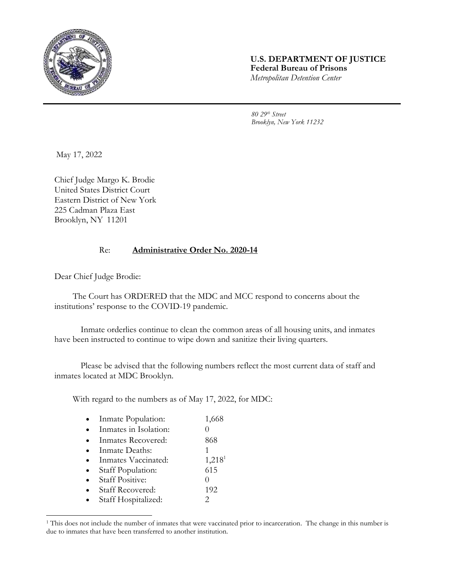

## **U.S. DEPARTMENT OF JUSTICE Federal Bureau of Prisons** *Metropolitan Detention Center*

*80 29th Street Brooklyn, New York 11232*

May 17, 2022

Chief Judge Margo K. Brodie United States District Court Eastern District of New York 225 Cadman Plaza East Brooklyn, NY 11201

## Re: **Administrative Order No. 2020-14**

Dear Chief Judge Brodie:

The Court has ORDERED that the MDC and MCC respond to concerns about the institutions' response to the COVID-19 pandemic.

Inmate orderlies continue to clean the common areas of all housing units, and inmates have been instructed to continue to wipe down and sanitize their living quarters.

Please be advised that the following numbers reflect the most current data of staff and inmates located at MDC Brooklyn.

With regard to the numbers as of May 17, 2022, for MDC:

| Inmate Population:      | 1,668              |
|-------------------------|--------------------|
| Inmates in Isolation:   |                    |
| Inmates Recovered:      | 868                |
| Inmate Deaths:          |                    |
| Inmates Vaccinated:     | 1,218 <sup>1</sup> |
| Staff Population:       | 615                |
| <b>Staff Positive:</b>  |                    |
| <b>Staff Recovered:</b> | 192                |
| Staff Hospitalized:     | 2                  |

<sup>&</sup>lt;sup>1</sup> This does not include the number of inmates that were vaccinated prior to incarceration. The change in this number is due to inmates that have been transferred to another institution.